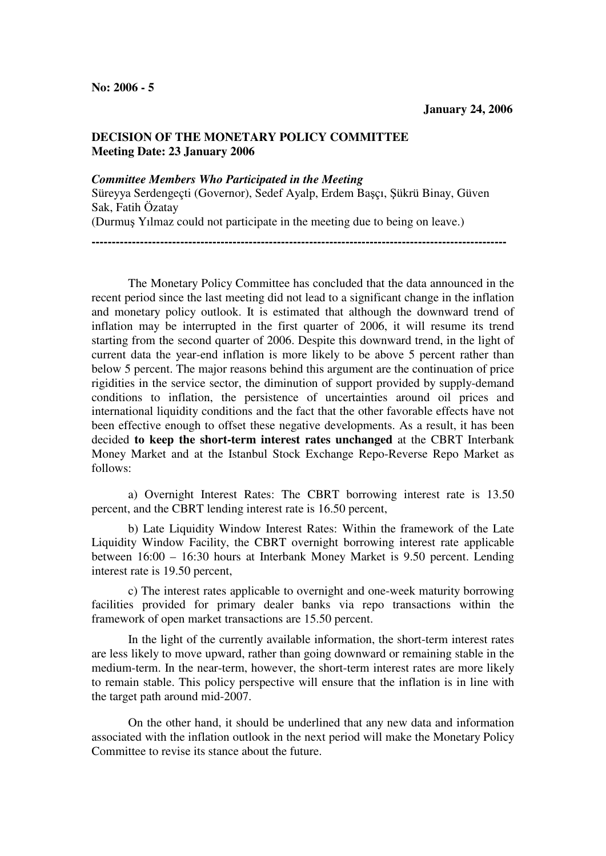## **DECISION OF THE MONETARY POLICY COMMITTEE Meeting Date: 23 January 2006**

## *Committee Members Who Participated in the Meeting*

Süreyya Serdengeçti (Governor), Sedef Ayalp, Erdem Başçı, Şükrü Binay, Güven Sak, Fatih Özatay

**-------------------------------------------------------------------------------------------------------** 

(Durmuş Yılmaz could not participate in the meeting due to being on leave.)

The Monetary Policy Committee has concluded that the data announced in the recent period since the last meeting did not lead to a significant change in the inflation and monetary policy outlook. It is estimated that although the downward trend of inflation may be interrupted in the first quarter of 2006, it will resume its trend starting from the second quarter of 2006. Despite this downward trend, in the light of current data the year-end inflation is more likely to be above 5 percent rather than below 5 percent. The major reasons behind this argument are the continuation of price rigidities in the service sector, the diminution of support provided by supply-demand conditions to inflation, the persistence of uncertainties around oil prices and international liquidity conditions and the fact that the other favorable effects have not been effective enough to offset these negative developments. As a result, it has been decided **to keep the short-term interest rates unchanged** at the CBRT Interbank Money Market and at the Istanbul Stock Exchange Repo-Reverse Repo Market as follows:

a) Overnight Interest Rates: The CBRT borrowing interest rate is 13.50 percent, and the CBRT lending interest rate is 16.50 percent,

b) Late Liquidity Window Interest Rates: Within the framework of the Late Liquidity Window Facility, the CBRT overnight borrowing interest rate applicable between 16:00 – 16:30 hours at Interbank Money Market is 9.50 percent. Lending interest rate is 19.50 percent,

c) The interest rates applicable to overnight and one-week maturity borrowing facilities provided for primary dealer banks via repo transactions within the framework of open market transactions are 15.50 percent.

In the light of the currently available information, the short-term interest rates are less likely to move upward, rather than going downward or remaining stable in the medium-term. In the near-term, however, the short-term interest rates are more likely to remain stable. This policy perspective will ensure that the inflation is in line with the target path around mid-2007.

On the other hand, it should be underlined that any new data and information associated with the inflation outlook in the next period will make the Monetary Policy Committee to revise its stance about the future.